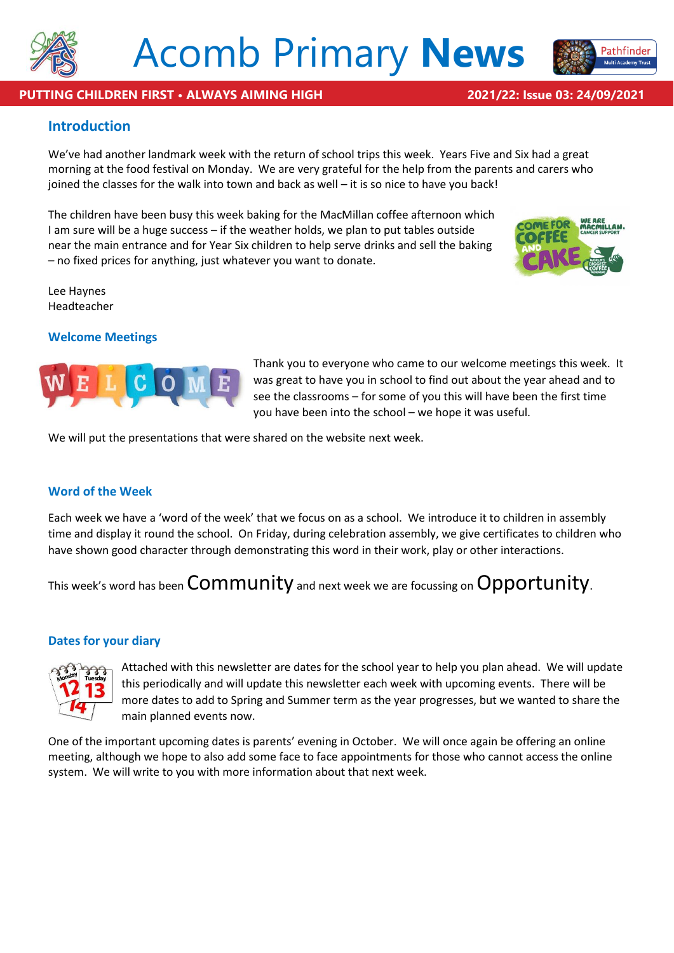

# **PUTTING CHILDREN FIRST • ALWAYS AIMING HIGH 2021/22: Issue 03: 24/09/2021**

Pathfinder

# **Introduction**

We've had another landmark week with the return of school trips this week. Years Five and Six had a great morning at the food festival on Monday. We are very grateful for the help from the parents and carers who joined the classes for the walk into town and back as well – it is so nice to have you back!

The children have been busy this week baking for the MacMillan coffee afternoon which I am sure will be a huge success – if the weather holds, we plan to put tables outside near the main entrance and for Year Six children to help serve drinks and sell the baking – no fixed prices for anything, just whatever you want to donate.



Lee Haynes Headteacher

# **Welcome Meetings**



Thank you to everyone who came to our welcome meetings this week. It was great to have you in school to find out about the year ahead and to see the classrooms – for some of you this will have been the first time you have been into the school – we hope it was useful.

We will put the presentations that were shared on the website next week.

# **Word of the Week**

Each week we have a 'word of the week' that we focus on as a school. We introduce it to children in assembly time and display it round the school. On Friday, during celebration assembly, we give certificates to children who have shown good character through demonstrating this word in their work, play or other interactions.

This week's word has been Community and next week we are focussing on Opportunity.

# **Dates for your diary**



Attached with this newsletter are dates for the school year to help you plan ahead. We will update this periodically and will update this newsletter each week with upcoming events. There will be more dates to add to Spring and Summer term as the year progresses, but we wanted to share the main planned events now.

One of the important upcoming dates is parents' evening in October. We will once again be offering an online meeting, although we hope to also add some face to face appointments for those who cannot access the online system. We will write to you with more information about that next week.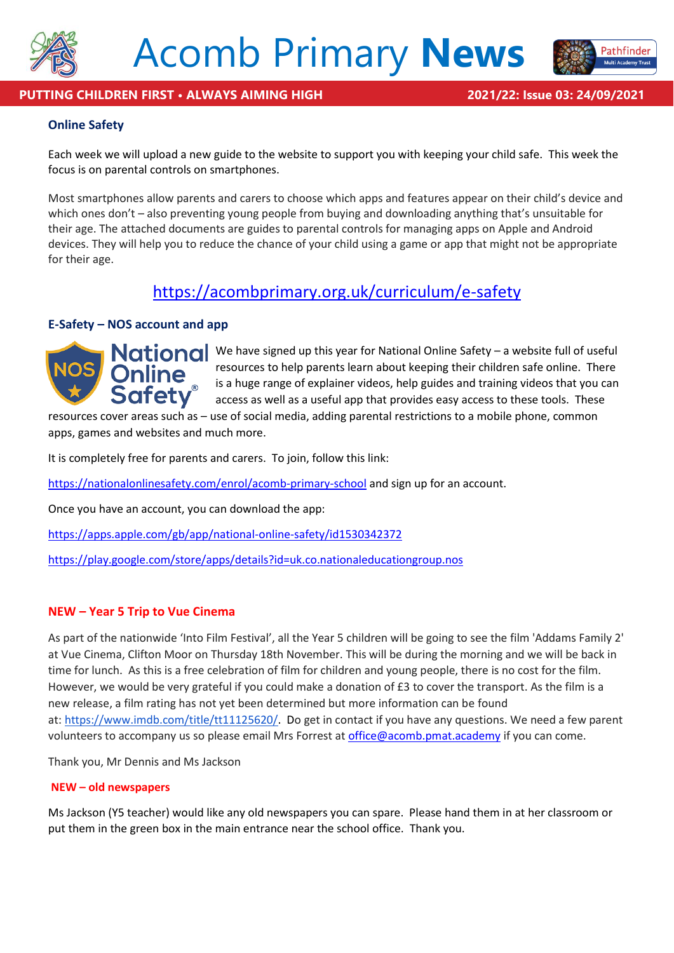



Pathfinder

# **Online Safety**

Each week we will upload a new guide to the website to support you with keeping your child safe. This week the focus is on parental controls on smartphones.

Most smartphones allow parents and carers to choose which apps and features appear on their child's device and which ones don't – also preventing young people from buying and downloading anything that's unsuitable for their age. The attached documents are guides to parental controls for managing apps on Apple and Android devices. They will help you to reduce the chance of your child using a game or app that might not be appropriate for their age.

# <https://acombprimary.org.uk/curriculum/e-safety>

# **E-Safety – NOS account and app**



National We have signed up this year for National Online Safety – a website full of useful resources to help parents learn about keeping their children safe online. There is a huge range of explainer videos, help guides and training videos that you can access as well as a useful app that provides easy access to these tools. These

resources cover areas such as – use of social media, adding parental restrictions to a mobile phone, common apps, games and websites and much more.

It is completely free for parents and carers. To join, follow this link:

<https://nationalonlinesafety.com/enrol/acomb-primary-school> and sign up for an account.

Once you have an account, you can download the app:

<https://apps.apple.com/gb/app/national-online-safety/id1530342372>

<https://play.google.com/store/apps/details?id=uk.co.nationaleducationgroup.nos>

# **NEW – Year 5 Trip to Vue Cinema**

As part of the nationwide 'Into Film Festival', all the Year 5 children will be going to see the film 'Addams Family 2' at Vue Cinema, Clifton Moor on Thursday 18th November. This will be during the morning and we will be back in time for lunch. As this is a free celebration of film for children and young people, there is no cost for the film. However, we would be very grateful if you could make a donation of £3 to cover the transport. As the film is a new release, a film rating has not yet been determined but more information can be found at: [https://www.imdb.com/title/tt11125620/.](https://www.imdb.com/title/tt11125620/) Do get in contact if you have any questions. We need a few parent volunteers to accompany us so please email Mrs Forrest a[t office@acomb.pmat.academy](mailto:office@acomb.pmat.academy) if you can come.

Thank you, Mr Dennis and Ms Jackson

### **NEW – old newspapers**

Ms Jackson (Y5 teacher) would like any old newspapers you can spare. Please hand them in at her classroom or put them in the green box in the main entrance near the school office. Thank you.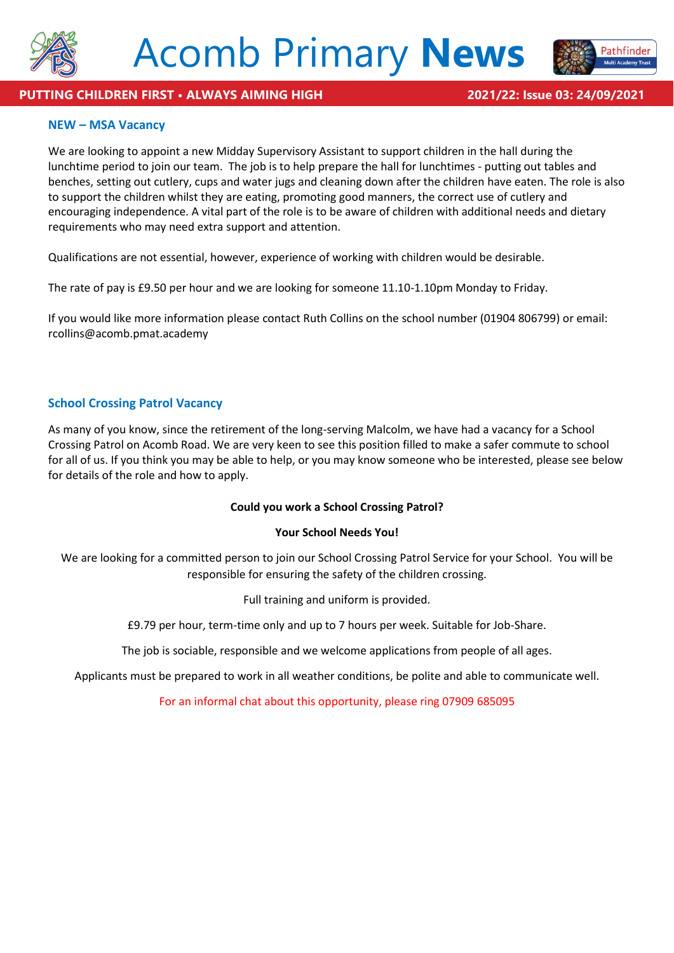



### **PUTTING CHILDREN FIRST • ALWAYS AIMING HIGH 2021/22: Issue 03: 24/09/2021**

### **NEW – MSA Vacancy**

We are looking to appoint a new Midday Supervisory Assistant to support children in the hall during the lunchtime period to join our team. The job is to help prepare the hall for lunchtimes - putting out tables and benches, setting out cutlery, cups and water jugs and cleaning down after the children have eaten. The role is also to support the children whilst they are eating, promoting good manners, the correct use of cutlery and encouraging independence. A vital part of the role is to be aware of children with additional needs and dietary requirements who may need extra support and attention.

Qualifications are not essential, however, experience of working with children would be desirable.

The rate of pay is £9.50 per hour and we are looking for someone 11.10-1.10pm Monday to Friday.

If you would like more information please contact Ruth Collins on the school number (01904 806799) or email: rcollins@acomb.pmat.academy

### **School Crossing Patrol Vacancy**

As many of you know, since the retirement of the long-serving Malcolm, we have had a vacancy for a School Crossing Patrol on Acomb Road. We are very keen to see this position filled to make a safer commute to school for all of us. If you think you may be able to help, or you may know someone who be interested, please see below for details of the role and how to apply.

### **Could you work a School Crossing Patrol?**

#### **Your School Needs You!**

We are looking for a committed person to join our School Crossing Patrol Service for your School. You will be responsible for ensuring the safety of the children crossing.

Full training and uniform is provided.

£9.79 per hour, term-time only and up to 7 hours per week. Suitable for Job-Share.

The job is sociable, responsible and we welcome applications from people of all ages.

Applicants must be prepared to work in all weather conditions, be polite and able to communicate well.

For an informal chat about this opportunity, please ring 07909 685095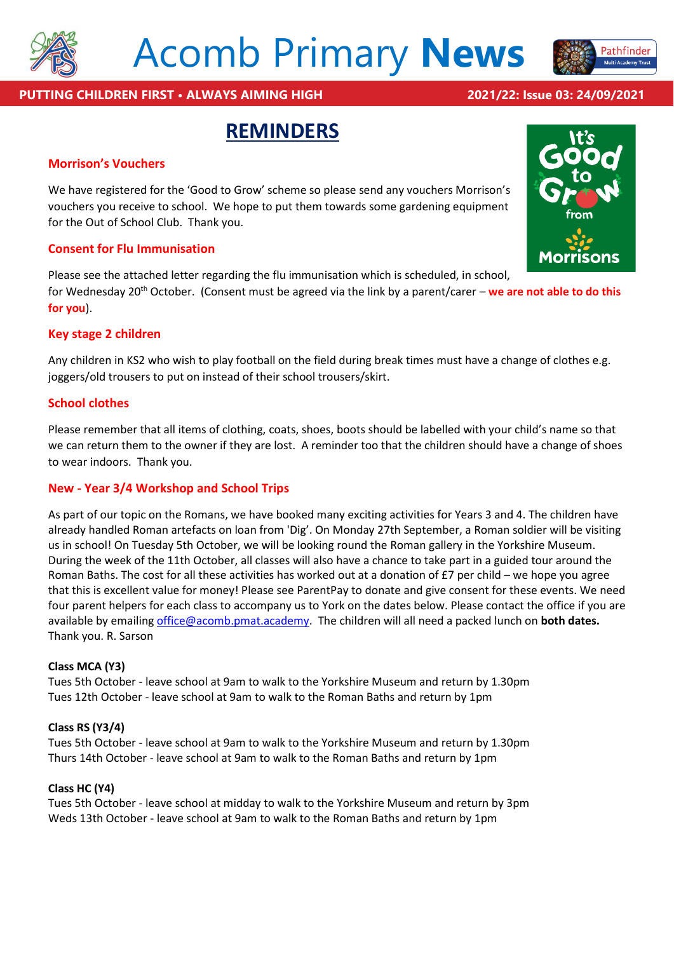

# Acomb Primary **News**



# **PUTTING CHILDREN FIRST • ALWAYS AIMING HIGH 2021/22: Issue 03: 24/09/2021**

# **REMINDERS**

### **Morrison's Vouchers**

We have registered for the 'Good to Grow' scheme so please send any vouchers Morrison's vouchers you receive to school. We hope to put them towards some gardening equipment for the Out of School Club. Thank you.

### **Consent for Flu Immunisation**

Please see the attached letter regarding the flu immunisation which is scheduled, in school,

for Wednesday 20th October. (Consent must be agreed via the link by a parent/carer – **we are not able to do this for you**).

### **Key stage 2 children**

Any children in KS2 who wish to play football on the field during break times must have a change of clothes e.g. joggers/old trousers to put on instead of their school trousers/skirt.

### **School clothes**

Please remember that all items of clothing, coats, shoes, boots should be labelled with your child's name so that we can return them to the owner if they are lost. A reminder too that the children should have a change of shoes to wear indoors. Thank you.

# **New - Year 3/4 Workshop and School Trips**

As part of our topic on the Romans, we have booked many exciting activities for Years 3 and 4. The children have already handled Roman artefacts on loan from 'Dig'. On Monday 27th September, a Roman soldier will be visiting us in school! On Tuesday 5th October, we will be looking round the Roman gallery in the Yorkshire Museum. During the week of the 11th October, all classes will also have a chance to take part in a guided tour around the Roman Baths. The cost for all these activities has worked out at a donation of £7 per child – we hope you agree that this is excellent value for money! Please see ParentPay to donate and give consent for these events. We need four parent helpers for each class to accompany us to York on the dates below. Please contact the office if you are available by emailin[g office@acomb.pmat.academy.](mailto:office@acomb.pmat.academy) The children will all need a packed lunch on **both dates.** Thank you. R. Sarson

### **Class MCA (Y3)**

Tues 5th October - leave school at 9am to walk to the Yorkshire Museum and return by 1.30pm Tues 12th October - leave school at 9am to walk to the Roman Baths and return by 1pm

### **Class RS (Y3/4)**

Tues 5th October - leave school at 9am to walk to the Yorkshire Museum and return by 1.30pm Thurs 14th October - leave school at 9am to walk to the Roman Baths and return by 1pm

### **Class HC (Y4)**

Tues 5th October - leave school at midday to walk to the Yorkshire Museum and return by 3pm Weds 13th October - leave school at 9am to walk to the Roman Baths and return by 1pm